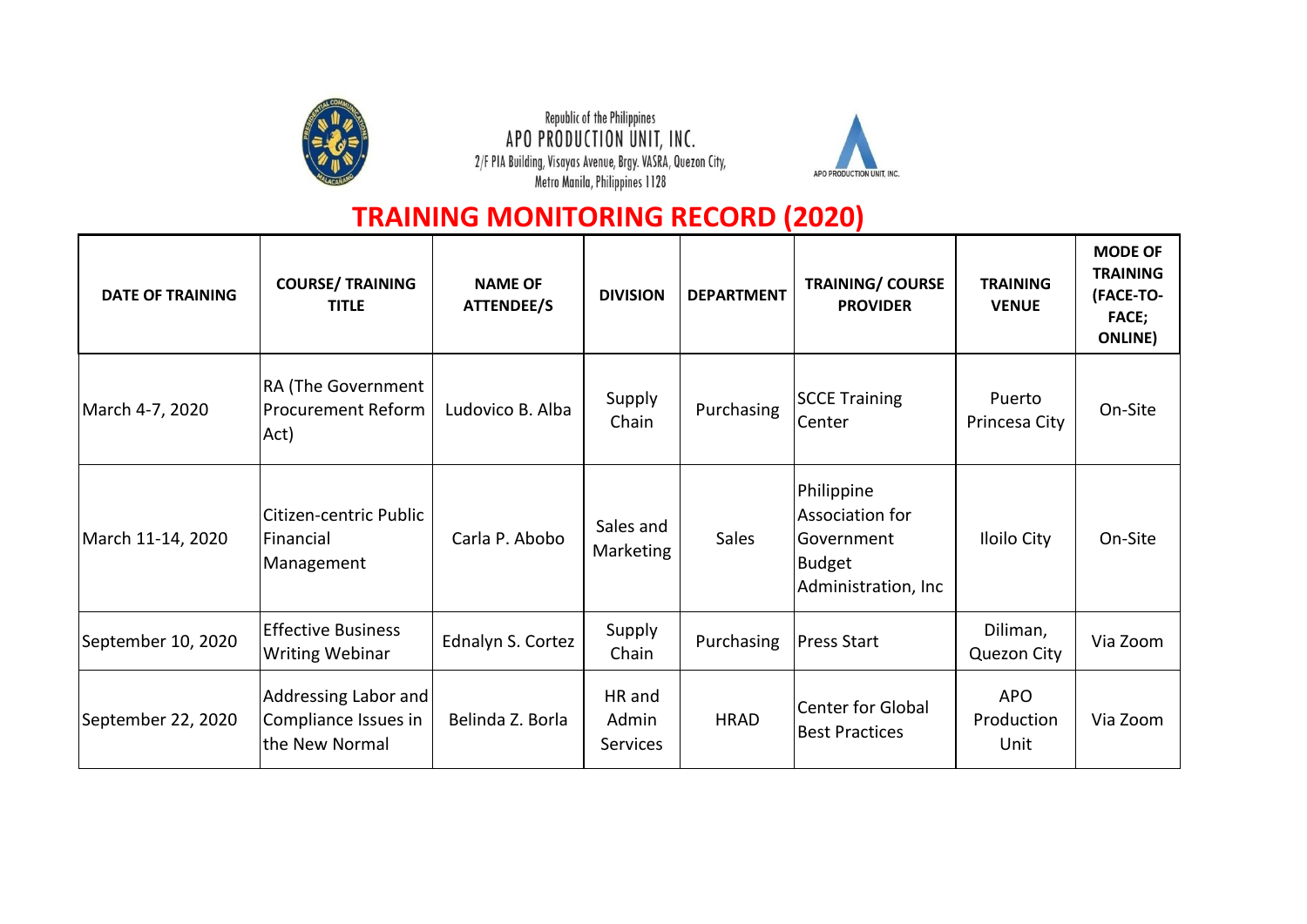

Republic of the Philippines APO PRODUCTION UNIT, INC. 2/F PIA Building, Visayas Avenue, Brgy. VASRA, Quezon City,<br>Metro Manila, Philippines 1128



## **TRAINING MONITORING RECORD (2020)**

| <b>DATE OF TRAINING</b> | <b>COURSE/ TRAINING</b><br><b>TITLE</b>                        | <b>NAME OF</b><br>ATTENDEE/S | <b>DIVISION</b>                    | <b>DEPARTMENT</b> | <b>TRAINING/ COURSE</b><br><b>PROVIDER</b>                                            | <b>TRAINING</b><br><b>VENUE</b>  | <b>MODE OF</b><br><b>TRAINING</b><br>(FACE-TO-<br><b>FACE;</b><br><b>ONLINE</b> ) |
|-------------------------|----------------------------------------------------------------|------------------------------|------------------------------------|-------------------|---------------------------------------------------------------------------------------|----------------------------------|-----------------------------------------------------------------------------------|
| March 4-7, 2020         | <b>RA (The Government</b><br><b>Procurement Reform</b><br>Act) | Ludovico B. Alba             | Supply<br>Chain                    | Purchasing        | <b>SCCE Training</b><br>Center                                                        | Puerto<br>Princesa City          | On-Site                                                                           |
| March 11-14, 2020       | Citizen-centric Public<br>Financial<br>Management              | Carla P. Abobo               | Sales and<br>Marketing             | <b>Sales</b>      | Philippine<br>Association for<br>l Government<br><b>Budget</b><br>Administration, Inc | <b>Iloilo City</b>               | On-Site                                                                           |
| September 10, 2020      | <b>Effective Business</b><br><b>Writing Webinar</b>            | Ednalyn S. Cortez            | Supply<br>Chain                    | Purchasing        | <b>Press Start</b>                                                                    | Diliman,<br><b>Quezon City</b>   | Via Zoom                                                                          |
| September 22, 2020      | Addressing Labor and<br>Compliance Issues in<br>the New Normal | Belinda Z. Borla             | HR and<br>Admin<br><b>Services</b> | <b>HRAD</b>       | Center for Global<br><b>Best Practices</b>                                            | <b>APO</b><br>Production<br>Unit | Via Zoom                                                                          |